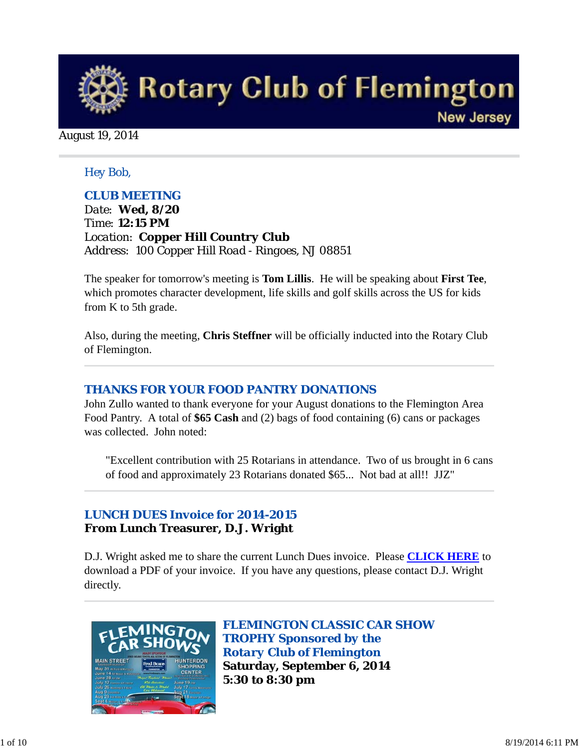

August 19, 2014

### *Hey Bob,*

### *CLUB MEETING*

*Date: Wed, 8/20 Time: 12:15 PM Location: Copper Hill Country Club Address: 100 Copper Hill Road - Ringoes, NJ 08851*

The speaker for tomorrow's meeting is **Tom Lillis**. He will be speaking about **First Tee**, which promotes character development, life skills and golf skills across the US for kids from K to 5th grade.

Also, during the meeting, **Chris Steffner** will be officially inducted into the Rotary Club of Flemington.

#### *THANKS FOR YOUR FOOD PANTRY DONATIONS*

John Zullo wanted to thank everyone for your August donations to the Flemington Area Food Pantry. A total of **\$65 Cash** and (2) bags of food containing (6) cans or packages was collected. John noted:

"Excellent contribution with 25 Rotarians in attendance. Two of us brought in 6 cans of food and approximately 23 Rotarians donated \$65... Not bad at all!! JJZ"

## *LUNCH DUES Invoice for 2014-2015* **From Lunch Treasurer, D.J. Wright**

D.J. Wright asked me to share the current Lunch Dues invoice. Please **CLICK HERE** to download a PDF of your invoice. If you have any questions, please contact D.J. Wright directly.



*FLEMINGTON CLASSIC CAR SHOW TROPHY Sponsored by the Rotary Club of Flemington* **Saturday, September 6, 2014 5:30 to 8:30 pm**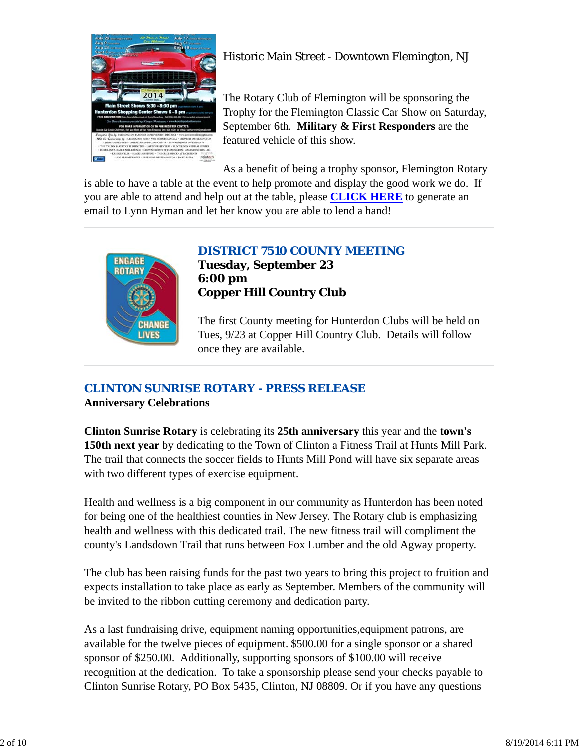

# Historic Main Street - Downtown Flemington, NJ

The Rotary Club of Flemington will be sponsoring the Trophy for the Flemington Classic Car Show on Saturday, September 6th. **Military & First Responders** are the featured vehicle of this show.

As a benefit of being a trophy sponsor, Flemington Rotary

is able to have a table at the event to help promote and display the good work we do. If you are able to attend and help out at the table, please **CLICK HERE** to generate an email to Lynn Hyman and let her know you are able to lend a hand!



## *DISTRICT 7510 COUNTY MEETING*

**Tuesday, September 23 6:00 pm Copper Hill Country Club**

The first County meeting for Hunterdon Clubs will be held on Tues, 9/23 at Copper Hill Country Club. Details will follow once they are available.

## *CLINTON SUNRISE ROTARY - PRESS RELEASE*

**Anniversary Celebrations**

**Clinton Sunrise Rotary** is celebrating its **25th anniversary** this year and the **town's 150th next year** by dedicating to the Town of Clinton a Fitness Trail at Hunts Mill Park. The trail that connects the soccer fields to Hunts Mill Pond will have six separate areas with two different types of exercise equipment.

Health and wellness is a big component in our community as Hunterdon has been noted for being one of the healthiest counties in New Jersey. The Rotary club is emphasizing health and wellness with this dedicated trail. The new fitness trail will compliment the county's Landsdown Trail that runs between Fox Lumber and the old Agway property.

The club has been raising funds for the past two years to bring this project to fruition and expects installation to take place as early as September. Members of the community will be invited to the ribbon cutting ceremony and dedication party.

As a last fundraising drive, equipment naming opportunities,equipment patrons, are available for the twelve pieces of equipment. \$500.00 for a single sponsor or a shared sponsor of \$250.00. Additionally, supporting sponsors of \$100.00 will receive recognition at the dedication. To take a sponsorship please send your checks payable to Clinton Sunrise Rotary, PO Box 5435, Clinton, NJ 08809. Or if you have any questions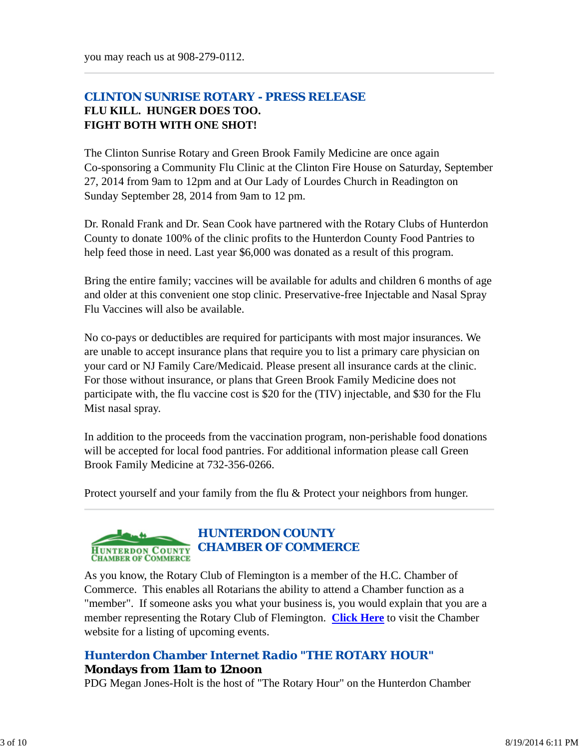## *CLINTON SUNRISE ROTARY - PRESS RELEASE* **FLU KILL. HUNGER DOES TOO. FIGHT BOTH WITH ONE SHOT!**

The Clinton Sunrise Rotary and Green Brook Family Medicine are once again Co-sponsoring a Community Flu Clinic at the Clinton Fire House on Saturday, September 27, 2014 from 9am to 12pm and at Our Lady of Lourdes Church in Readington on Sunday September 28, 2014 from 9am to 12 pm.

Dr. Ronald Frank and Dr. Sean Cook have partnered with the Rotary Clubs of Hunterdon County to donate 100% of the clinic profits to the Hunterdon County Food Pantries to help feed those in need. Last year \$6,000 was donated as a result of this program.

Bring the entire family; vaccines will be available for adults and children 6 months of age and older at this convenient one stop clinic. Preservative-free Injectable and Nasal Spray Flu Vaccines will also be available.

No co-pays or deductibles are required for participants with most major insurances. We are unable to accept insurance plans that require you to list a primary care physician on your card or NJ Family Care/Medicaid. Please present all insurance cards at the clinic. For those without insurance, or plans that Green Brook Family Medicine does not participate with, the flu vaccine cost is \$20 for the (TIV) injectable, and \$30 for the Flu Mist nasal spray.

In addition to the proceeds from the vaccination program, non-perishable food donations will be accepted for local food pantries. For additional information please call Green Brook Family Medicine at 732-356-0266.

Protect yourself and your family from the flu & Protect your neighbors from hunger.



As you know, the Rotary Club of Flemington is a member of the H.C. Chamber of Commerce. This enables all Rotarians the ability to attend a Chamber function as a "member". If someone asks you what your business is, you would explain that you are a member representing the Rotary Club of Flemington. **Click Here** to visit the Chamber website for a listing of upcoming events.

### *Hunterdon Chamber Internet Radio "THE ROTARY HOUR"* **Mondays from 11am to 12noon**

PDG Megan Jones-Holt is the host of "The Rotary Hour" on the Hunterdon Chamber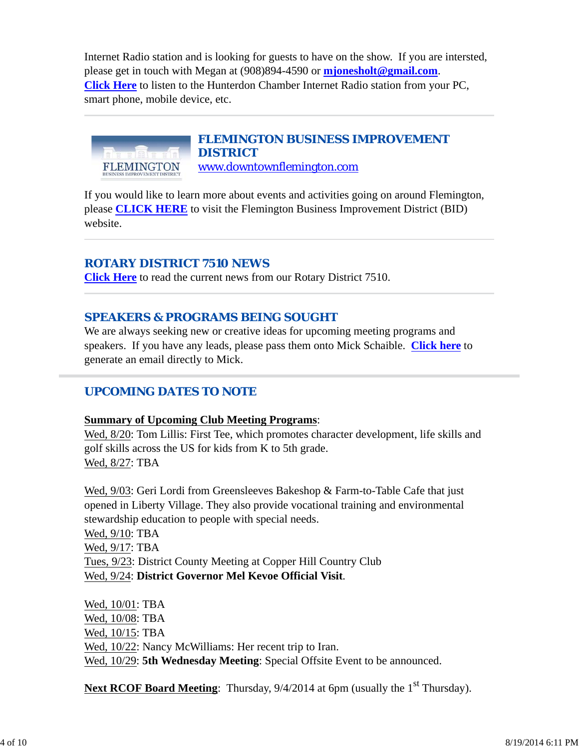Internet Radio station and is looking for guests to have on the show. If you are intersted, please get in touch with Megan at (908)894-4590 or **mjonesholt@gmail.com**. **Click Here** to listen to the Hunterdon Chamber Internet Radio station from your PC, smart phone, mobile device, etc.



If you would like to learn more about events and activities going on around Flemington, please **CLICK HERE** to visit the Flemington Business Improvement District (BID) website.

### *ROTARY DISTRICT 7510 NEWS*

**Click Here** to read the current news from our Rotary District 7510.

### *SPEAKERS & PROGRAMS BEING SOUGHT*

We are always seeking new or creative ideas for upcoming meeting programs and speakers. If you have any leads, please pass them onto Mick Schaible. **Click here** to generate an email directly to Mick.

### *UPCOMING DATES TO NOTE*

#### **Summary of Upcoming Club Meeting Programs**:

Wed, 8/20: Tom Lillis: First Tee, which promotes character development, life skills and golf skills across the US for kids from K to 5th grade. Wed, 8/27: TBA

Wed, 9/03: Geri Lordi from Greensleeves Bakeshop & Farm-to-Table Cafe that just opened in Liberty Village. They also provide vocational training and environmental stewardship education to people with special needs.

Wed, 9/10: TBA Wed, 9/17: TBA Tues, 9/23: District County Meeting at Copper Hill Country Club Wed, 9/24: **District Governor Mel Kevoe Official Visit**.

Wed, 10/01: TBA Wed, 10/08: TBA Wed, 10/15: TBA Wed, 10/22: Nancy McWilliams: Her recent trip to Iran. Wed, 10/29: **5th Wednesday Meeting**: Special Offsite Event to be announced.

**Next RCOF Board Meeting:** Thursday, 9/4/2014 at 6pm (usually the 1<sup>st</sup> Thursday).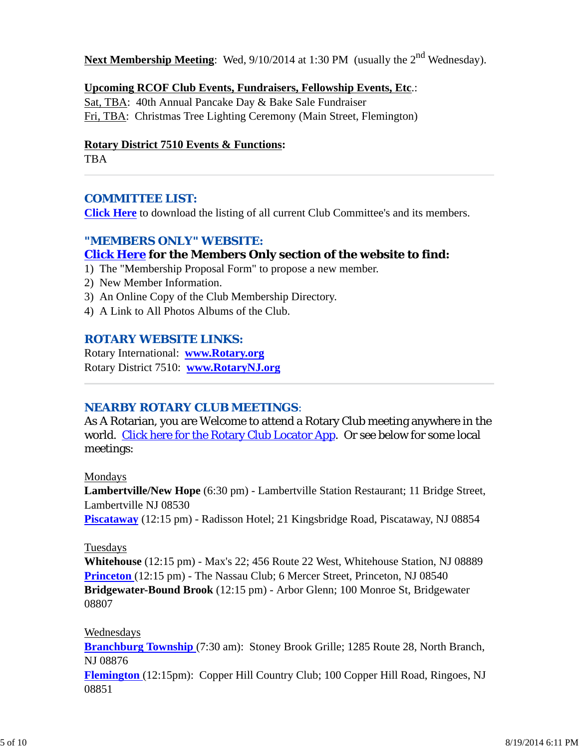**Next Membership Meeting**: Wed, 9/10/2014 at 1:30 PM (usually the 2<sup>nd</sup> Wednesday).

### **Upcoming RCOF Club Events, Fundraisers, Fellowship Events, Etc**.:

Sat, TBA: 40th Annual Pancake Day & Bake Sale Fundraiser Fri, TBA: Christmas Tree Lighting Ceremony (Main Street, Flemington)

#### **Rotary District 7510 Events & Functions:**

TBA

### *COMMITTEE LIST:*

**Click Here** to download the listing of all current Club Committee's and its members.

## *"MEMBERS ONLY" WEBSITE:*

## **Click Here for the Members Only section of the website to find:**

- 1) The "Membership Proposal Form" to propose a new member.
- 2) New Member Information.
- 3) An Online Copy of the Club Membership Directory.
- 4) A Link to All Photos Albums of the Club.

### *ROTARY WEBSITE LINKS:*

Rotary International: **www.Rotary.org** Rotary District 7510: **www.RotaryNJ.org**

### *NEARBY ROTARY CLUB MEETINGS:*

As A Rotarian, you are Welcome to attend a Rotary Club meeting anywhere in the world. Click here for the Rotary Club Locator App. Or see below for some local meetings:

#### Mondays

**Lambertville/New Hope** (6:30 pm) - Lambertville Station Restaurant; 11 Bridge Street, Lambertville NJ 08530

**Piscataway** (12:15 pm) - Radisson Hotel; 21 Kingsbridge Road, Piscataway, NJ 08854

#### Tuesdays

**Whitehouse** (12:15 pm) - Max's 22; 456 Route 22 West, Whitehouse Station, NJ 08889 **Princeton** (12:15 pm) - The Nassau Club; 6 Mercer Street, Princeton, NJ 08540 **Bridgewater-Bound Brook** (12:15 pm) - Arbor Glenn; 100 Monroe St, Bridgewater 08807

### Wednesdays

**Branchburg Township** (7:30 am): Stoney Brook Grille; 1285 Route 28, North Branch, NJ 08876

**Flemington** (12:15pm): Copper Hill Country Club; 100 Copper Hill Road, Ringoes, NJ 08851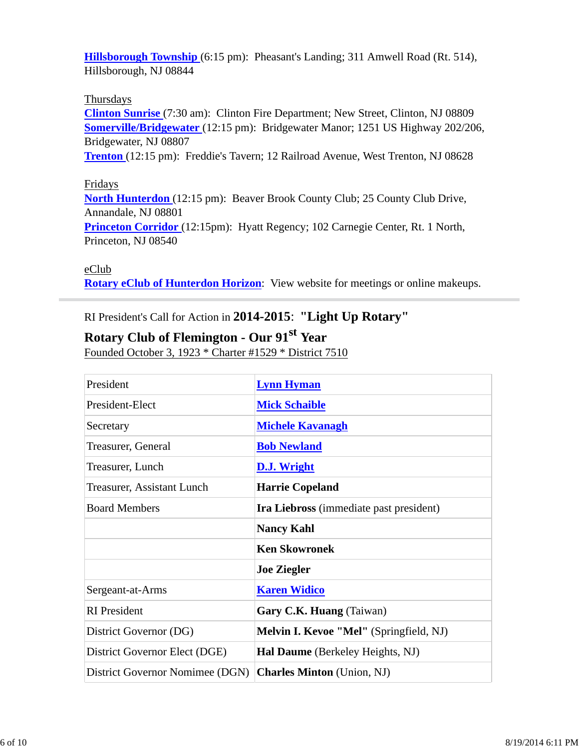**Hillsborough Township** (6:15 pm): Pheasant's Landing; 311 Amwell Road (Rt. 514), Hillsborough, NJ 08844

### Thursdays

**Clinton Sunrise** (7:30 am): Clinton Fire Department; New Street, Clinton, NJ 08809 **Somerville/Bridgewater** (12:15 pm): Bridgewater Manor; 1251 US Highway 202/206, Bridgewater, NJ 08807

**Trenton** (12:15 pm): Freddie's Tavern; 12 Railroad Avenue, West Trenton, NJ 08628

#### Fridays

**North Hunterdon** (12:15 pm): Beaver Brook County Club; 25 County Club Drive, Annandale, NJ 08801 **Princeton Corridor** (12:15pm): Hyatt Regency; 102 Carnegie Center, Rt. 1 North, Princeton, NJ 08540

#### eClub

**Rotary eClub of Hunterdon Horizon**: View website for meetings or online makeups.

## RI President's Call for Action in **2014-2015**: **"Light Up Rotary"**

# **Rotary Club of Flemington - Our 91st Year**

Founded October 3, 1923 \* Charter #1529 \* District 7510

| President                       | <b>Lynn Hyman</b>                              |  |
|---------------------------------|------------------------------------------------|--|
| President-Elect                 | <b>Mick Schaible</b>                           |  |
| Secretary                       | <b>Michele Kavanagh</b>                        |  |
| Treasurer, General              | <b>Bob Newland</b>                             |  |
| Treasurer, Lunch                | D.J. Wright                                    |  |
| Treasurer, Assistant Lunch      | <b>Harrie Copeland</b>                         |  |
| <b>Board Members</b>            | <b>Ira Liebross</b> (immediate past president) |  |
|                                 | <b>Nancy Kahl</b>                              |  |
|                                 | <b>Ken Skowronek</b>                           |  |
|                                 | <b>Joe Ziegler</b>                             |  |
| Sergeant-at-Arms                | <b>Karen Widico</b>                            |  |
| <b>RI</b> President             | Gary C.K. Huang (Taiwan)                       |  |
| District Governor (DG)          | <b>Melvin I. Kevoe "Mel"</b> (Springfield, NJ) |  |
| District Governor Elect (DGE)   | Hal Daume (Berkeley Heights, NJ)               |  |
| District Governor Nomimee (DGN) | <b>Charles Minton</b> (Union, NJ)              |  |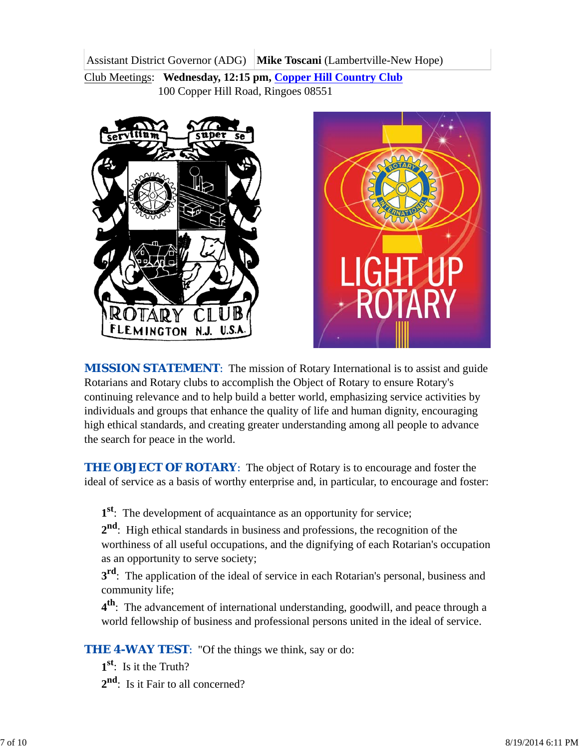Assistant District Governor (ADG) **Mike Toscani** (Lambertville-New Hope) Club Meetings: **Wednesday, 12:15 pm, Copper Hill Country Club** 100 Copper Hill Road, Ringoes 08551





*MISSION STATEMENT*: The mission of Rotary International is to assist and guide Rotarians and Rotary clubs to accomplish the Object of Rotary to ensure Rotary's continuing relevance and to help build a better world, emphasizing service activities by individuals and groups that enhance the quality of life and human dignity, encouraging high ethical standards, and creating greater understanding among all people to advance the search for peace in the world.

**THE OBJECT OF ROTARY:** The object of Rotary is to encourage and foster the ideal of service as a basis of worthy enterprise and, in particular, to encourage and foster:

**1st**: The development of acquaintance as an opportunity for service;

**2nd**: High ethical standards in business and professions, the recognition of the worthiness of all useful occupations, and the dignifying of each Rotarian's occupation as an opportunity to serve society;

**3<sup>rd</sup>**: The application of the ideal of service in each Rotarian's personal, business and community life;

**4th**: The advancement of international understanding, goodwill, and peace through a world fellowship of business and professional persons united in the ideal of service.

**THE 4-WAY TEST:** "Of the things we think, say or do:

**1st**: Is it the Truth?

2<sup>nd</sup>: Is it Fair to all concerned?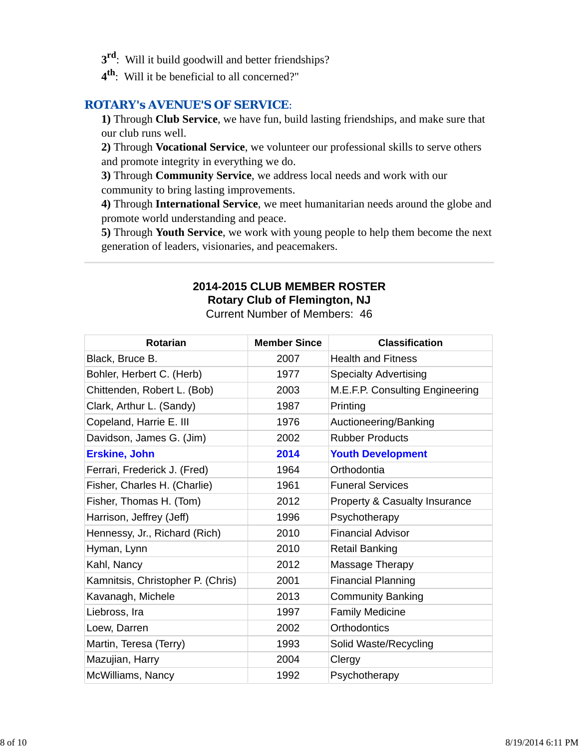- **3rd**: Will it build goodwill and better friendships?
- **4th**: Will it be beneficial to all concerned?"

### *ROTARY's AVENUE'S OF SERVICE*:

**1)** Through **Club Service**, we have fun, build lasting friendships, and make sure that our club runs well.

**2)** Through **Vocational Service**, we volunteer our professional skills to serve others and promote integrity in everything we do.

**3)** Through **Community Service**, we address local needs and work with our community to bring lasting improvements.

**4)** Through **International Service**, we meet humanitarian needs around the globe and promote world understanding and peace.

**5)** Through **Youth Service**, we work with young people to help them become the next generation of leaders, visionaries, and peacemakers.

# **2014-2015 CLUB MEMBER ROSTER Rotary Club of Flemington, NJ**

Current Number of Members: 46

| <b>Rotarian</b>                   | <b>Member Since</b> | <b>Classification</b>                    |
|-----------------------------------|---------------------|------------------------------------------|
| Black, Bruce B.                   | 2007                | <b>Health and Fitness</b>                |
| Bohler, Herbert C. (Herb)         | 1977                | <b>Specialty Advertising</b>             |
| Chittenden, Robert L. (Bob)       | 2003                | M.E.F.P. Consulting Engineering          |
| Clark, Arthur L. (Sandy)          | 1987                | Printing                                 |
| Copeland, Harrie E. III           | 1976                | Auctioneering/Banking                    |
| Davidson, James G. (Jim)          | 2002                | <b>Rubber Products</b>                   |
| <b>Erskine, John</b>              | 2014                | <b>Youth Development</b>                 |
| Ferrari, Frederick J. (Fred)      | 1964                | Orthodontia                              |
| Fisher, Charles H. (Charlie)      | 1961                | <b>Funeral Services</b>                  |
| Fisher, Thomas H. (Tom)           | 2012                | <b>Property &amp; Casualty Insurance</b> |
| Harrison, Jeffrey (Jeff)          | 1996                | Psychotherapy                            |
| Hennessy, Jr., Richard (Rich)     | 2010                | <b>Financial Advisor</b>                 |
| Hyman, Lynn                       | 2010                | Retail Banking                           |
| Kahl, Nancy                       | 2012                | Massage Therapy                          |
| Kamnitsis, Christopher P. (Chris) | 2001                | <b>Financial Planning</b>                |
| Kavanagh, Michele                 | 2013                | <b>Community Banking</b>                 |
| Liebross, Ira                     | 1997                | <b>Family Medicine</b>                   |
| Loew, Darren                      | 2002                | Orthodontics                             |
| Martin, Teresa (Terry)            | 1993                | Solid Waste/Recycling                    |
| Mazujian, Harry                   | 2004                | Clergy                                   |
| McWilliams, Nancy                 | 1992                | Psychotherapy                            |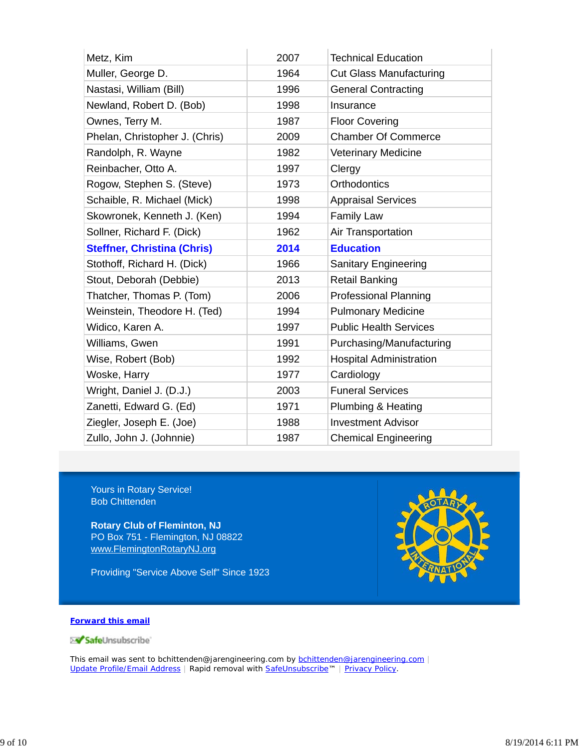| Metz, Kim                          | 2007 | <b>Technical Education</b>     |
|------------------------------------|------|--------------------------------|
| Muller, George D.                  | 1964 | <b>Cut Glass Manufacturing</b> |
| Nastasi, William (Bill)            | 1996 | <b>General Contracting</b>     |
| Newland, Robert D. (Bob)           | 1998 | Insurance                      |
| Ownes, Terry M.                    | 1987 | <b>Floor Covering</b>          |
| Phelan, Christopher J. (Chris)     | 2009 | <b>Chamber Of Commerce</b>     |
| Randolph, R. Wayne                 | 1982 | <b>Veterinary Medicine</b>     |
| Reinbacher, Otto A.                | 1997 | Clergy                         |
| Rogow, Stephen S. (Steve)          | 1973 | <b>Orthodontics</b>            |
| Schaible, R. Michael (Mick)        | 1998 | <b>Appraisal Services</b>      |
| Skowronek, Kenneth J. (Ken)        | 1994 | <b>Family Law</b>              |
| Sollner, Richard F. (Dick)         | 1962 | Air Transportation             |
| <b>Steffner, Christina (Chris)</b> | 2014 | <b>Education</b>               |
| Stothoff, Richard H. (Dick)        | 1966 | Sanitary Engineering           |
| Stout, Deborah (Debbie)            | 2013 | <b>Retail Banking</b>          |
| Thatcher, Thomas P. (Tom)          | 2006 | <b>Professional Planning</b>   |
| Weinstein, Theodore H. (Ted)       | 1994 | <b>Pulmonary Medicine</b>      |
| Widico, Karen A.                   | 1997 | <b>Public Health Services</b>  |
| Williams, Gwen                     | 1991 | Purchasing/Manufacturing       |
| Wise, Robert (Bob)                 | 1992 | <b>Hospital Administration</b> |
| Woske, Harry                       | 1977 | Cardiology                     |
| Wright, Daniel J. (D.J.)           | 2003 | <b>Funeral Services</b>        |
| Zanetti, Edward G. (Ed)            | 1971 | Plumbing & Heating             |
| Ziegler, Joseph E. (Joe)           | 1988 | <b>Investment Advisor</b>      |
| Zullo, John J. (Johnnie)           | 1987 | <b>Chemical Engineering</b>    |

Yours in Rotary Service! Bob Chittenden

**Rotary Club of Fleminton, NJ** PO Box 751 - Flemington, NJ 08822 www.FlemingtonRotaryNJ.org

Providing "Service Above Self" Since 1923



#### **Forward this email**

SafeUnsubscribe

This email was sent to bchittenden@jarengineering.com by **bchittenden@jarengineering.com** | Update Profile/Email Address | Rapid removal with SafeUnsubscribe™ | Privacy Policy.